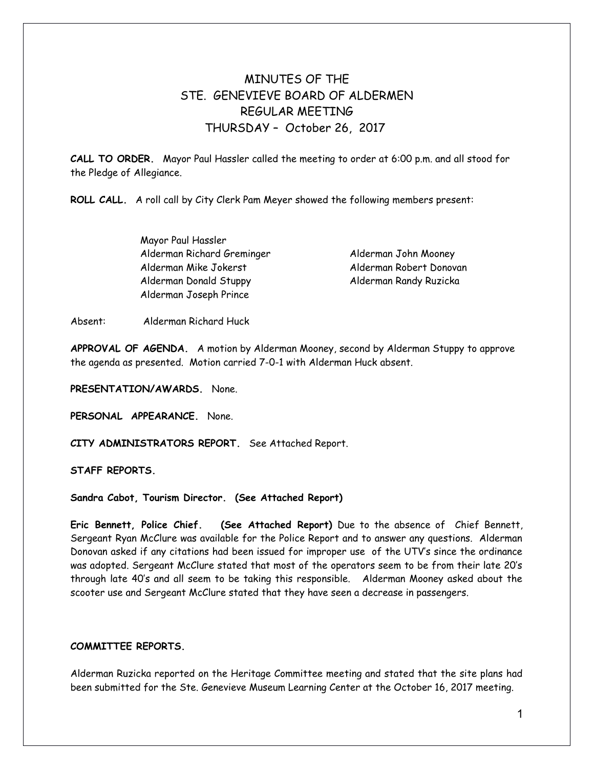# MINUTES OF THE STE. GENEVIEVE BOARD OF ALDERMEN REGULAR MEETING THURSDAY – October 26, 2017

**CALL TO ORDER.** Mayor Paul Hassler called the meeting to order at 6:00 p.m. and all stood for the Pledge of Allegiance.

**ROLL CALL.** A roll call by City Clerk Pam Meyer showed the following members present:

Mayor Paul Hassler Alderman Richard Greminger Alderman John Mooney Alderman Mike Jokerst Alderman Robert Donovan Alderman Donald Stuppy Alderman Randy Ruzicka Alderman Joseph Prince

Absent: Alderman Richard Huck

**APPROVAL OF AGENDA.** A motion by Alderman Mooney, second by Alderman Stuppy to approve the agenda as presented. Motion carried 7-0-1 with Alderman Huck absent.

**PRESENTATION/AWARDS.** None.

**PERSONAL APPEARANCE.** None.

**CITY ADMINISTRATORS REPORT.** See Attached Report.

**STAFF REPORTS.** 

**Sandra Cabot, Tourism Director. (See Attached Report)** 

**Eric Bennett, Police Chief. (See Attached Report)** Due to the absence of Chief Bennett, Sergeant Ryan McClure was available for the Police Report and to answer any questions. Alderman Donovan asked if any citations had been issued for improper use of the UTV's since the ordinance was adopted. Sergeant McClure stated that most of the operators seem to be from their late 20's through late 40's and all seem to be taking this responsible. Alderman Mooney asked about the scooter use and Sergeant McClure stated that they have seen a decrease in passengers.

## **COMMITTEE REPORTS.**

Alderman Ruzicka reported on the Heritage Committee meeting and stated that the site plans had been submitted for the Ste. Genevieve Museum Learning Center at the October 16, 2017 meeting.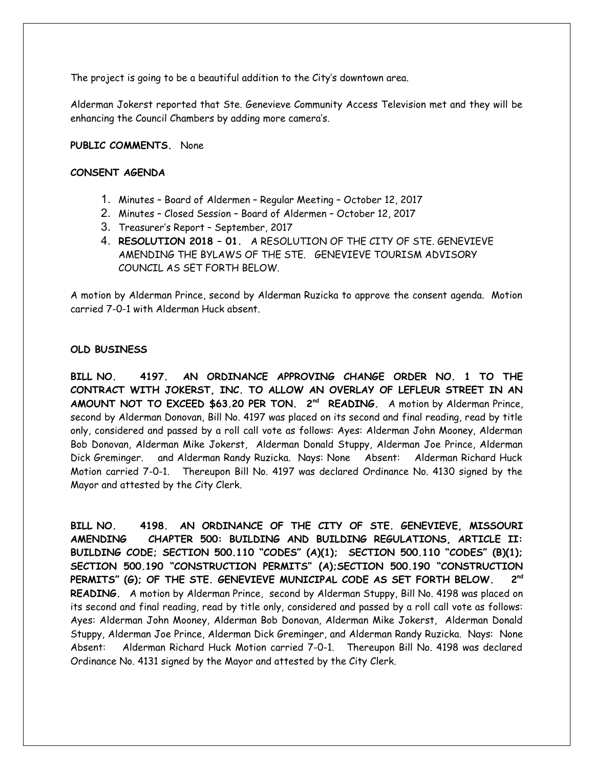The project is going to be a beautiful addition to the City's downtown area.

Alderman Jokerst reported that Ste. Genevieve Community Access Television met and they will be enhancing the Council Chambers by adding more camera's.

### **PUBLIC COMMENTS.** None

#### **CONSENT AGENDA**

- 1. Minutes Board of Aldermen Regular Meeting October 12, 2017
- 2. Minutes Closed Session Board of Aldermen October 12, 2017
- 3. Treasurer's Report September, 2017
- 4. **RESOLUTION 2018 01.** A RESOLUTION OF THE CITY OF STE. GENEVIEVE AMENDING THE BYLAWS OF THE STE. GENEVIEVE TOURISM ADVISORY COUNCIL AS SET FORTH BELOW.

A motion by Alderman Prince, second by Alderman Ruzicka to approve the consent agenda. Motion carried 7-0-1 with Alderman Huck absent.

### **OLD BUSINESS**

**BILL NO. 4197. AN ORDINANCE APPROVING CHANGE ORDER NO. 1 TO THE CONTRACT WITH JOKERST, INC. TO ALLOW AN OVERLAY OF LEFLEUR STREET IN AN AMOUNT NOT TO EXCEED \$63.20 PER TON. 2nd READING.** A motion by Alderman Prince, second by Alderman Donovan, Bill No. 4197 was placed on its second and final reading, read by title only, considered and passed by a roll call vote as follows: Ayes: Alderman John Mooney, Alderman Bob Donovan, Alderman Mike Jokerst, Alderman Donald Stuppy, Alderman Joe Prince, Alderman Dick Greminger. and Alderman Randy Ruzicka. Nays: None Absent: Alderman Richard Huck Motion carried 7-0-1. Thereupon Bill No. 4197 was declared Ordinance No. 4130 signed by the Mayor and attested by the City Clerk.

**BILL NO. 4198. AN ORDINANCE OF THE CITY OF STE. GENEVIEVE, MISSOURI AMENDING CHAPTER 500: BUILDING AND BUILDING REGULATIONS, ARTICLE II: BUILDING CODE; SECTION 500.110 "CODES" (A)(1); SECTION 500.110 "CODES" (B)(1); SECTION 500.190 "CONSTRUCTION PERMITS" (A);SECTION 500.190 "CONSTRUCTION PERMITS" (G); OF THE STE. GENEVIEVE MUNICIPAL CODE AS SET FORTH BELOW. 2 nd READING.** A motion by Alderman Prince, second by Alderman Stuppy, Bill No. 4198 was placed on its second and final reading, read by title only, considered and passed by a roll call vote as follows: Ayes: Alderman John Mooney, Alderman Bob Donovan, Alderman Mike Jokerst, Alderman Donald Stuppy, Alderman Joe Prince, Alderman Dick Greminger, and Alderman Randy Ruzicka. Nays: None Absent: Alderman Richard Huck Motion carried 7-0-1. Thereupon Bill No. 4198 was declared Ordinance No. 4131 signed by the Mayor and attested by the City Clerk.